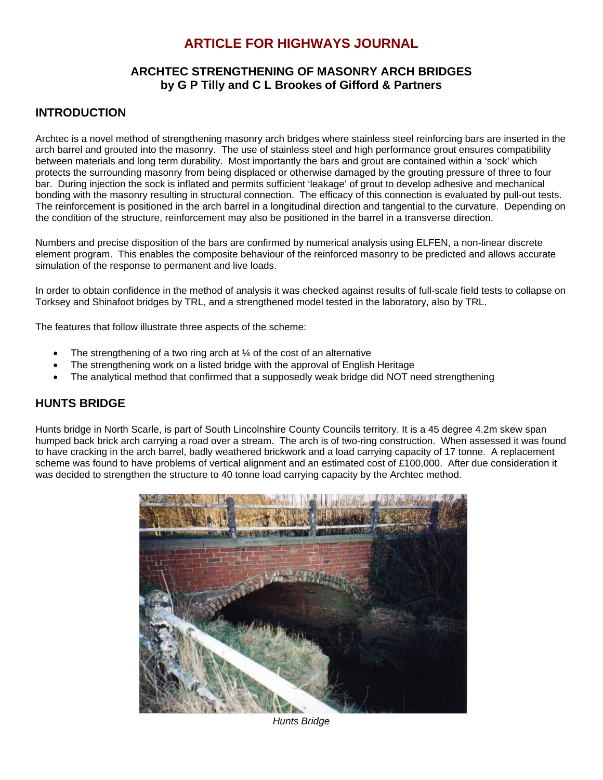# **ARTICLE FOR HIGHWAYS JOURNAL**

### **ARCHTEC STRENGTHENING OF MASONRY ARCH BRIDGES by G P Tilly and C L Brookes of Gifford & Partners**

### **INTRODUCTION**

Archtec is a novel method of strengthening masonry arch bridges where stainless steel reinforcing bars are inserted in the arch barrel and grouted into the masonry. The use of stainless steel and high performance grout ensures compatibility between materials and long term durability. Most importantly the bars and grout are contained within a 'sock' which protects the surrounding masonry from being displaced or otherwise damaged by the grouting pressure of three to four bar. During injection the sock is inflated and permits sufficient 'leakage' of grout to develop adhesive and mechanical bonding with the masonry resulting in structural connection. The efficacy of this connection is evaluated by pull-out tests. The reinforcement is positioned in the arch barrel in a longitudinal direction and tangential to the curvature. Depending on the condition of the structure, reinforcement may also be positioned in the barrel in a transverse direction.

Numbers and precise disposition of the bars are confirmed by numerical analysis using ELFEN, a non-linear discrete element program. This enables the composite behaviour of the reinforced masonry to be predicted and allows accurate simulation of the response to permanent and live loads.

In order to obtain confidence in the method of analysis it was checked against results of full-scale field tests to collapse on Torksey and Shinafoot bridges by TRL, and a strengthened model tested in the laboratory, also by TRL.

The features that follow illustrate three aspects of the scheme:

- The strengthening of a two ring arch at  $\frac{1}{4}$  of the cost of an alternative
- The strengthening work on a listed bridge with the approval of English Heritage
- The analytical method that confirmed that a supposedly weak bridge did NOT need strengthening

### **HUNTS BRIDGE**

Hunts bridge in North Scarle, is part of South Lincolnshire County Councils territory. It is a 45 degree 4.2m skew span humped back brick arch carrying a road over a stream. The arch is of two-ring construction. When assessed it was found to have cracking in the arch barrel, badly weathered brickwork and a load carrying capacity of 17 tonne. A replacement scheme was found to have problems of vertical alignment and an estimated cost of £100,000. After due consideration it was decided to strengthen the structure to 40 tonne load carrying capacity by the Archtec method.



*Hunts Bridge*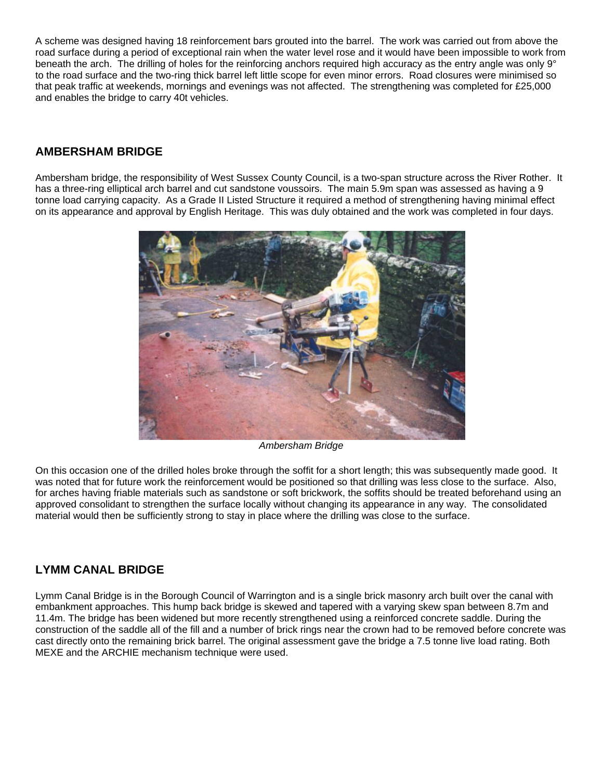A scheme was designed having 18 reinforcement bars grouted into the barrel. The work was carried out from above the road surface during a period of exceptional rain when the water level rose and it would have been impossible to work from beneath the arch. The drilling of holes for the reinforcing anchors required high accuracy as the entry angle was only 9° to the road surface and the two-ring thick barrel left little scope for even minor errors. Road closures were minimised so that peak traffic at weekends, mornings and evenings was not affected. The strengthening was completed for £25,000 and enables the bridge to carry 40t vehicles.

### **AMBERSHAM BRIDGE**

Ambersham bridge, the responsibility of West Sussex County Council, is a two-span structure across the River Rother. It has a three-ring elliptical arch barrel and cut sandstone voussoirs. The main 5.9m span was assessed as having a 9 tonne load carrying capacity. As a Grade II Listed Structure it required a method of strengthening having minimal effect on its appearance and approval by English Heritage. This was duly obtained and the work was completed in four days.



*Ambersham Bridge*

On this occasion one of the drilled holes broke through the soffit for a short length; this was subsequently made good. It was noted that for future work the reinforcement would be positioned so that drilling was less close to the surface. Also, for arches having friable materials such as sandstone or soft brickwork, the soffits should be treated beforehand using an approved consolidant to strengthen the surface locally without changing its appearance in any way. The consolidated material would then be sufficiently strong to stay in place where the drilling was close to the surface.

#### **LYMM CANAL BRIDGE**

Lymm Canal Bridge is in the Borough Council of Warrington and is a single brick masonry arch built over the canal with embankment approaches. This hump back bridge is skewed and tapered with a varying skew span between 8.7m and 11.4m. The bridge has been widened but more recently strengthened using a reinforced concrete saddle. During the construction of the saddle all of the fill and a number of brick rings near the crown had to be removed before concrete was cast directly onto the remaining brick barrel. The original assessment gave the bridge a 7.5 tonne live load rating. Both MEXE and the ARCHIE mechanism technique were used.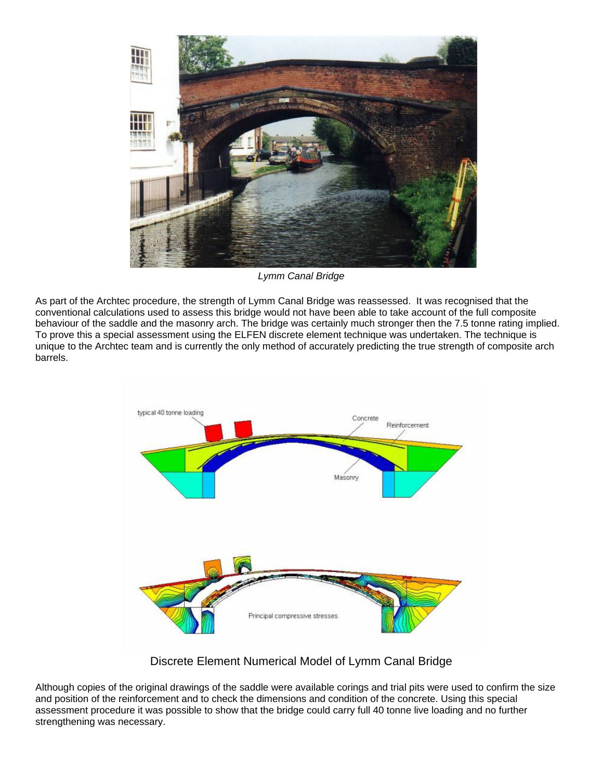

*Lymm Canal Bridge*

As part of the Archtec procedure, the strength of Lymm Canal Bridge was reassessed. It was recognised that the conventional calculations used to assess this bridge would not have been able to take account of the full composite behaviour of the saddle and the masonry arch. The bridge was certainly much stronger then the 7.5 tonne rating implied. To prove this a special assessment using the ELFEN discrete element technique was undertaken. The technique is unique to the Archtec team and is currently the only method of accurately predicting the true strength of composite arch barrels.



Discrete Element Numerical Model of Lymm Canal Bridge

Although copies of the original drawings of the saddle were available corings and trial pits were used to confirm the size and position of the reinforcement and to check the dimensions and condition of the concrete. Using this special assessment procedure it was possible to show that the bridge could carry full 40 tonne live loading and no further strengthening was necessary.